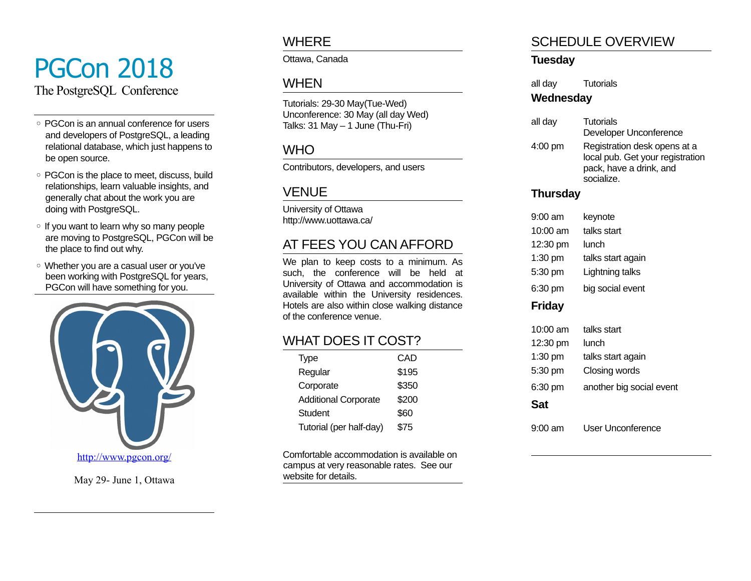# PGCon 2018

The PostgreSQL Conference

- PGCon is an annual conference for users and developers of PostgreSQL, a leading relational database, which just happens to be open source.
- PGCon is the place to meet, discuss, build relationships, learn valuable insights, and generally chat about the work you are doing with PostgreSQL.
- If you want to learn why so many people are moving to PostgreSQL, PGCon will be the place to find out why.
- Whether you are a casual user or you've been working with PostgreSQL for years, PGCon will have something for you.



May 29- June 1, Ottawa

### **WHERE**

Ottawa, Canada

## WHEN

Tutorials: 29-30 May(Tue-Wed) Unconference: 30 May (all day Wed) Talks:  $31$  May  $-1$  June (Thu-Fri)

## **WHO**

Contributors, developers, and users

# VENUE

University of Ottawa http://www.uottawa.ca/

# AT FEES YOU CAN AFFORD

We plan to keep costs to a minimum. As such, the conference will be held at University of Ottawa and accommodation is available within the University residences. Hotels are also within close walking distance of the conference venue.

# WHAT DOES IT COST?

| Type                        | CAD   |
|-----------------------------|-------|
| Regular                     | \$195 |
| Corporate                   | \$350 |
| <b>Additional Corporate</b> | \$200 |
| Student                     | \$60  |
| Tutorial (per half-day)     | \$75  |

Comfortable accommodation is available on campus at very reasonable rates. See our website for details.

# SCHEDULE OVERVIEW

#### **Tuesday**

all day Tutorials

#### **Wednesday**

| all day | <b>Tutorials</b><br>Developer Unconference                                                                |
|---------|-----------------------------------------------------------------------------------------------------------|
| 4:00 pm | Registration desk opens at a<br>local pub. Get your registration<br>pack, have a drink, and<br>socialize. |

#### **Thursday**

| 9:00 am<br>$10:00$ am<br>12:30 pm<br>1:30 pm<br>5:30 pm<br>6:30 pm | keynote<br>talks start<br>lunch<br>talks start again<br>Lightning talks<br>big social event |
|--------------------------------------------------------------------|---------------------------------------------------------------------------------------------|
| <b>Friday</b>                                                      |                                                                                             |
| 10:00 am<br>12:30 pm<br>1:30 pm<br>5:30 pm<br>6:30 pm<br>Sat       | talks start<br>lunch<br>talks start again<br>Closing words<br>another big social event      |
| 9:00 am                                                            | User Unconference                                                                           |